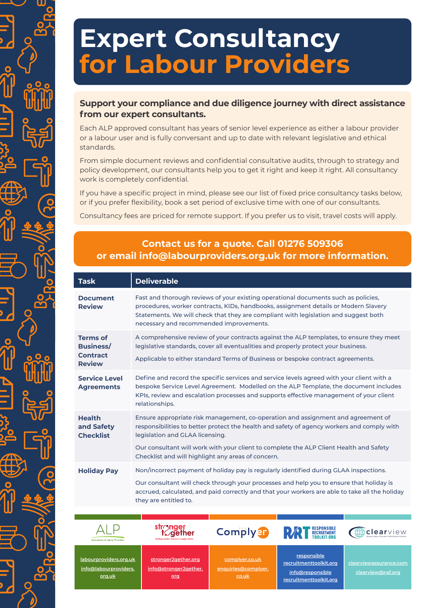## **Expert Consultancy for Labour Providers**

## **Support your compliance and due diligence journey with direct assistance from our expert consultants.**

Each ALP approved consultant has years of senior level experience as either a labour provider or a labour user and is fully conversant and up to date with relevant legislative and ethical standards.

From simple document reviews and confidential consultative audits, through to strategy and policy development, our consultants help you to get it right and keep it right. All consultancy work is completely confidential.

If you have a specific project in mind, please see our list of fixed price consultancy tasks below, or if you prefer flexibility, book a set period of exclusive time with one of our consultants.

Consultancy fees are priced for remote support. If you prefer us to visit, travel costs will apply.

## **Contact us for a quote. Call 01276 509306 or email info@labourproviders.org.uk for more information.**

| <b>Task</b>                                                             | <b>Deliverable</b>                                                                                                                                                                                                                                                                                                                                                |
|-------------------------------------------------------------------------|-------------------------------------------------------------------------------------------------------------------------------------------------------------------------------------------------------------------------------------------------------------------------------------------------------------------------------------------------------------------|
| <b>Document</b><br><b>Review</b>                                        | Fast and thorough reviews of your existing operational documents such as policies,<br>procedures, worker contracts, KIDs, handbooks, assignment details or Modern Slavery<br>Statements. We will check that they are compliant with legislation and suggest both<br>necessary and recommended improvements.                                                       |
| <b>Terms of</b><br><b>Business/</b><br><b>Contract</b><br><b>Review</b> | A comprehensive review of your contracts against the ALP templates, to ensure they meet<br>legislative standards, cover all eventualities and properly protect your business.<br>Applicable to either standard Terms of Business or bespoke contract agreements.                                                                                                  |
| <b>Service Level</b><br><b>Agreements</b>                               | Define and record the specific services and service levels agreed with your client with a<br>bespoke Service Level Agreement. Modelled on the ALP Template, the document includes<br>KPIs, review and escalation processes and supports effective management of your client<br>relationships.                                                                     |
| <b>Health</b><br>and Safety<br><b>Checklist</b>                         | Ensure appropriate risk management, co-operation and assignment and agreement of<br>responsibilities to better protect the health and safety of agency workers and comply with<br>legislation and GLAA licensing.<br>Our consultant will work with your client to complete the ALP Client Health and Safety<br>Checklist and will highlight any areas of concern. |
| <b>Holiday Pay</b>                                                      | Non/incorrect payment of holiday pay is regularly identified during GLAA inspections.<br>Our consultant will check through your processes and help you to ensure that holiday is<br>accrued, calculated, and paid correctly and that your workers are able to take all the holiday<br>they are entitled to.                                                       |
|                                                                         |                                                                                                                                                                                                                                                                                                                                                                   |

**[labourproviders.org.uk](https://labourproviders.org.uk) [info@labourproviders.](mailto:info%40labourproviders.org.uk?subject=) [org.uk](mailto:info%40labourproviders.org.uk?subject=)**

**[stronger2gether.org](https://www.stronger2gether.org) [info@stronger2gether.](mailto:info%40stronger2gether.org?subject=) [org](mailto:info%40stronger2gether.org?subject=)**

**tackling modern slavery in supply chains**

*aether* 

**[complyer.co.uk](https://www.complyer.co.uk) enquiries@complyer. co.uk**

**Comply**<sup>9</sup>

RESPONSIBLE<br>RECRUITMENT<br>TOOLKIT.ORG **[responsible](https://responsiblerecruitmenttoolkit.org) [recruitmenttoolkit.org](https://responsiblerecruitmenttoolkit.org)**

**[info@responsible](mailto:info%40responsible%0Arecruitmenttoolkit.org?subject=) [recruitmenttoolkit.org](mailto:info%40responsible%0Arecruitmenttoolkit.org?subject=)** clearview Global Labour Provider Certification Scheme

**[clearviewassurance.com](https://www.clearviewassurance.com) [clearview@nsf.org](mailto:clearview%40nsf.org?subject=)**